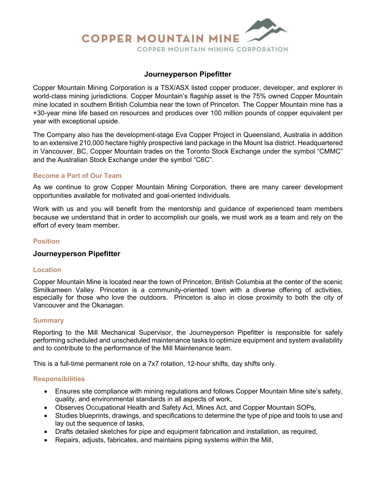

# **Journeyperson Pipefitter**

Copper Mountain Mining Corporation is a TSX/ASX listed copper producer, developer, and explorer in world-class mining jurisdictions. Copper Mountain's flagship asset is the 75% owned Copper Mountain mine located in southern British Columbia near the town of Princeton. The Copper Mountain mine has a +30-year mine life based on resources and produces over 100 million pounds of copper equivalent per year with exceptional upside.

The Company also has the development-stage Eva Copper Project in Queensland, Australia in addition to an extensive 210,000 hectare highly prospective land package in the Mount Isa district. Headquartered in Vancouver, BC, Copper Mountain trades on the Toronto Stock Exchange under the symbol "CMMC" and the Australian Stock Exchange under the symbol "C6C".

## **Become a Part of Our Team**

As we continue to grow Copper Mountain Mining Corporation, there are many career development opportunities available for motivated and goal-oriented individuals.

Work with us and you will benefit from the mentorship and guidance of experienced team members because we understand that in order to accomplish our goals, we must work as a team and rely on the effort of every team member.

## **Position**

### **Journeyperson Pipefitter**

### **Location**

Copper Mountain Mine is located near the town of Princeton, British Columbia at the center of the scenic Similkameen Valley. Princeton is a community-oriented town with a diverse offering of activities, especially for those who love the outdoors. Princeton is also in close proximity to both the city of Vancouver and the Okanagan.

### **Summary**

Reporting to the Mill Mechanical Supervisor, the Journeyperson Pipefitter is responsible for safely performing scheduled and unscheduled maintenance tasks to optimize equipment and system availability and to contribute to the performance of the Mill Maintenance team.

This is a full-time permanent role on a 7x7 rotation, 12-hour shifts, day shifts only.

### **Responsibilities**

- Ensures site compliance with mining regulations and follows Copper Mountain Mine site's safety, quality, and environmental standards in all aspects of work,
- Observes Occupational Health and Safety Act, Mines Act, and Copper Mountain SOPs,
- Studies blueprints, drawings, and specifications to determine the type of pipe and tools to use and lay out the sequence of tasks,
- Drafts detailed sketches for pipe and equipment fabrication and installation, as required,
- Repairs, adjusts, fabricates, and maintains piping systems within the Mill,